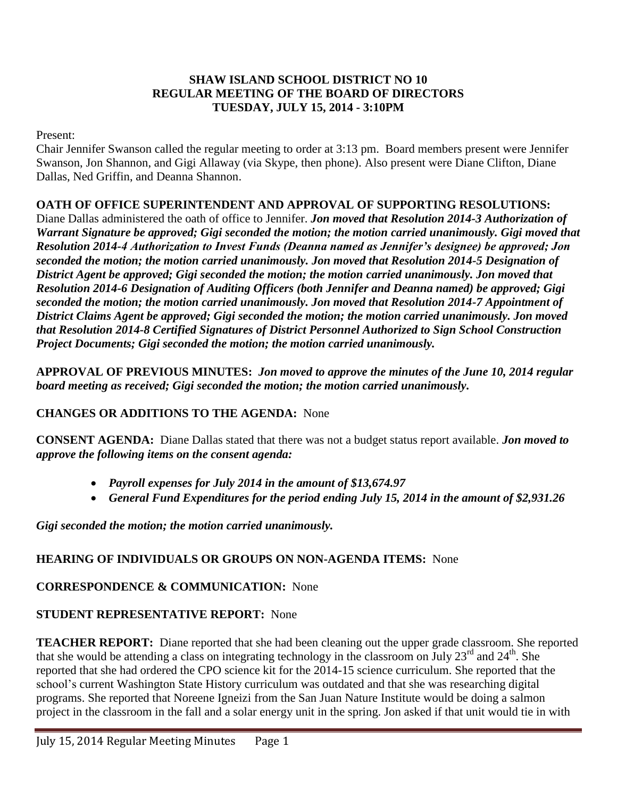#### **SHAW ISLAND SCHOOL DISTRICT NO 10 REGULAR MEETING OF THE BOARD OF DIRECTORS TUESDAY, JULY 15, 2014 - 3:10PM**

Present:

Chair Jennifer Swanson called the regular meeting to order at 3:13 pm. Board members present were Jennifer Swanson, Jon Shannon, and Gigi Allaway (via Skype, then phone). Also present were Diane Clifton, Diane Dallas, Ned Griffin, and Deanna Shannon.

#### **OATH OF OFFICE SUPERINTENDENT AND APPROVAL OF SUPPORTING RESOLUTIONS:**

Diane Dallas administered the oath of office to Jennifer. *Jon moved that Resolution 2014-3 Authorization of Warrant Signature be approved; Gigi seconded the motion; the motion carried unanimously. Gigi moved that Resolution 2014-4 Authorization to Invest Funds (Deanna named as Jennifer's designee) be approved; Jon seconded the motion; the motion carried unanimously. Jon moved that Resolution 2014-5 Designation of District Agent be approved; Gigi seconded the motion; the motion carried unanimously. Jon moved that Resolution 2014-6 Designation of Auditing Officers (both Jennifer and Deanna named) be approved; Gigi seconded the motion; the motion carried unanimously. Jon moved that Resolution 2014-7 Appointment of District Claims Agent be approved; Gigi seconded the motion; the motion carried unanimously. Jon moved that Resolution 2014-8 Certified Signatures of District Personnel Authorized to Sign School Construction Project Documents; Gigi seconded the motion; the motion carried unanimously.*

**APPROVAL OF PREVIOUS MINUTES:** *Jon moved to approve the minutes of the June 10, 2014 regular board meeting as received; Gigi seconded the motion; the motion carried unanimously.*

#### **CHANGES OR ADDITIONS TO THE AGENDA:** None

**CONSENT AGENDA:** Diane Dallas stated that there was not a budget status report available. *Jon moved to approve the following items on the consent agenda:*

- *Payroll expenses for July 2014 in the amount of \$13,674.97*
- *General Fund Expenditures for the period ending July 15, 2014 in the amount of \$2,931.26*

*Gigi seconded the motion; the motion carried unanimously.* 

# **HEARING OF INDIVIDUALS OR GROUPS ON NON-AGENDA ITEMS:** None

# **CORRESPONDENCE & COMMUNICATION:** None

# **STUDENT REPRESENTATIVE REPORT:** None

**TEACHER REPORT:** Diane reported that she had been cleaning out the upper grade classroom. She reported that she would be attending a class on integrating technology in the classroom on July  $23^{\text{rd}}$  and  $24^{\text{th}}$ . She reported that she had ordered the CPO science kit for the 2014-15 science curriculum. She reported that the school's current Washington State History curriculum was outdated and that she was researching digital programs. She reported that Noreene Igneizi from the San Juan Nature Institute would be doing a salmon project in the classroom in the fall and a solar energy unit in the spring. Jon asked if that unit would tie in with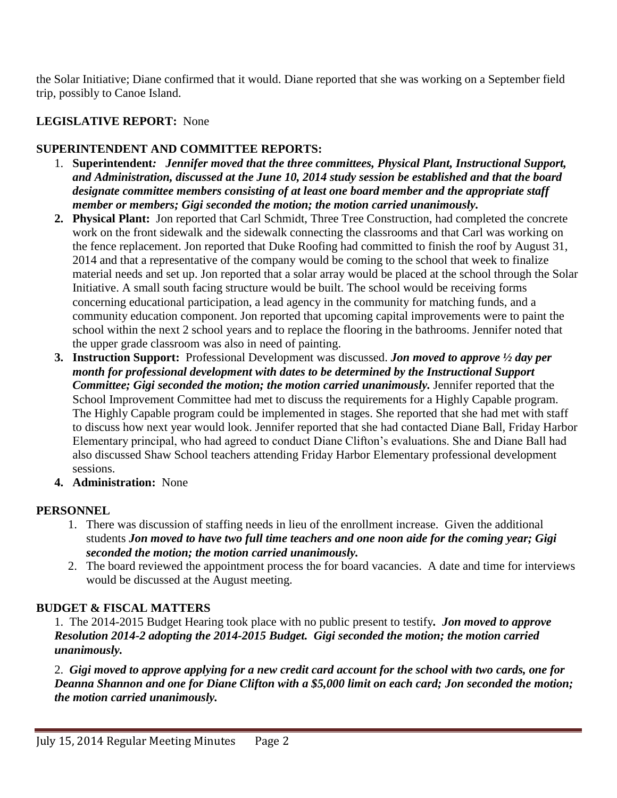the Solar Initiative; Diane confirmed that it would. Diane reported that she was working on a September field trip, possibly to Canoe Island.

# **LEGISLATIVE REPORT:** None

### **SUPERINTENDENT AND COMMITTEE REPORTS:**

- 1. **Superintendent***: Jennifer moved that the three committees, Physical Plant, Instructional Support, and Administration, discussed at the June 10, 2014 study session be established and that the board designate committee members consisting of at least one board member and the appropriate staff member or members; Gigi seconded the motion; the motion carried unanimously.*
- **2. Physical Plant:** Jon reported that Carl Schmidt, Three Tree Construction, had completed the concrete work on the front sidewalk and the sidewalk connecting the classrooms and that Carl was working on the fence replacement. Jon reported that Duke Roofing had committed to finish the roof by August 31, 2014 and that a representative of the company would be coming to the school that week to finalize material needs and set up. Jon reported that a solar array would be placed at the school through the Solar Initiative. A small south facing structure would be built. The school would be receiving forms concerning educational participation, a lead agency in the community for matching funds, and a community education component. Jon reported that upcoming capital improvements were to paint the school within the next 2 school years and to replace the flooring in the bathrooms. Jennifer noted that the upper grade classroom was also in need of painting.
- **3. Instruction Support:** Professional Development was discussed. *Jon moved to approve ½ day per month for professional development with dates to be determined by the Instructional Support Committee; Gigi seconded the motion; the motion carried unanimously.* Jennifer reported that the School Improvement Committee had met to discuss the requirements for a Highly Capable program. The Highly Capable program could be implemented in stages. She reported that she had met with staff to discuss how next year would look. Jennifer reported that she had contacted Diane Ball, Friday Harbor Elementary principal, who had agreed to conduct Diane Clifton's evaluations. She and Diane Ball had also discussed Shaw School teachers attending Friday Harbor Elementary professional development sessions.
- **4. Administration:** None

#### **PERSONNEL**

- 1. There was discussion of staffing needs in lieu of the enrollment increase. Given the additional students *Jon moved to have two full time teachers and one noon aide for the coming year; Gigi seconded the motion; the motion carried unanimously.*
- 2. The board reviewed the appointment process the for board vacancies. A date and time for interviews would be discussed at the August meeting.

# **BUDGET & FISCAL MATTERS**

1.The 2014-2015 Budget Hearing took place with no public present to testify*. Jon moved to approve Resolution 2014-2 adopting the 2014-2015 Budget. Gigi seconded the motion; the motion carried unanimously.* 

2. *Gigi moved to approve applying for a new credit card account for the school with two cards, one for Deanna Shannon and one for Diane Clifton with a \$5,000 limit on each card; Jon seconded the motion; the motion carried unanimously.*